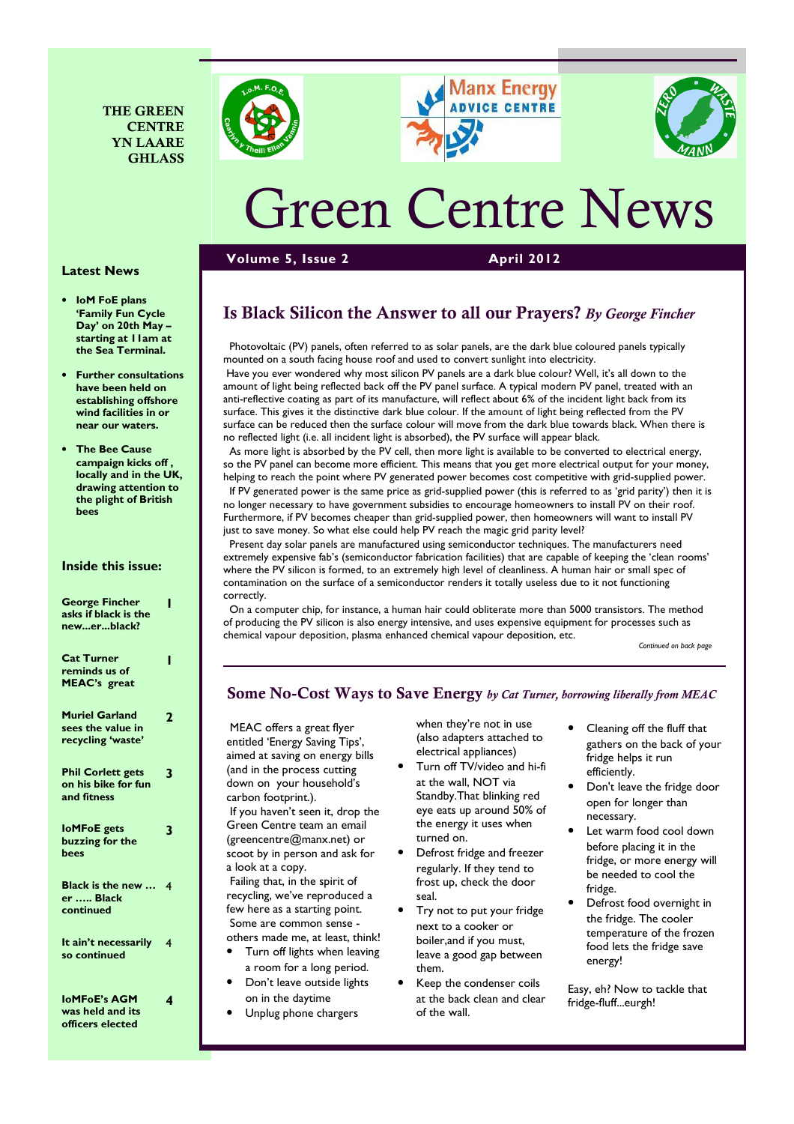







# Green Centre News

Volume 5, Issue 2 April 2012

#### Latest News

- IoM FoE plans 'Family Fun Cycle Day' on 20th May – starting at 11am at the Sea Terminal.
- Further consultations have been held on establishing offshore wind facilities in or near our waters.
- **The Bee Cause** campaign kicks off , locally and in the UK, drawing attention to the plight of British bees

#### Inside this issue:

| <b>George Fincher</b><br>asks if black is the<br>newerblack?    |   |
|-----------------------------------------------------------------|---|
| <b>Cat Turner</b><br>reminds us of<br><b>MEAC's</b> great       | ı |
| <b>Muriel Garland</b><br>sees the value in<br>recycling 'waste' | 2 |
| <b>Phil Corlett gets</b><br>on his bike for fun<br>and fitness  | 3 |
| <b>loMFoE</b> gets<br>buzzing for the<br>bees                   | 3 |
| Black is the new<br>er  Black<br>continued                      | 4 |
| It ain't necessarily<br>so continued                            | 4 |
| <b>IoMFoE's AGM</b><br>was held and its                         | 4 |

officers elected

# Is Black Silicon the Answer to all our Prayers? By George Fincher

 Photovoltaic (PV) panels, often referred to as solar panels, are the dark blue coloured panels typically mounted on a south facing house roof and used to convert sunlight into electricity.

 Have you ever wondered why most silicon PV panels are a dark blue colour? Well, it's all down to the amount of light being reflected back off the PV panel surface. A typical modern PV panel, treated with an anti-reflective coating as part of its manufacture, will reflect about 6% of the incident light back from its surface. This gives it the distinctive dark blue colour. If the amount of light being reflected from the PV surface can be reduced then the surface colour will move from the dark blue towards black. When there is no reflected light (i.e. all incident light is absorbed), the PV surface will appear black.

 As more light is absorbed by the PV cell, then more light is available to be converted to electrical energy, so the PV panel can become more efficient. This means that you get more electrical output for your money, helping to reach the point where PV generated power becomes cost competitive with grid-supplied power.

 If PV generated power is the same price as grid-supplied power (this is referred to as 'grid parity') then it is no longer necessary to have government subsidies to encourage homeowners to install PV on their roof. Furthermore, if PV becomes cheaper than grid-supplied power, then homeowners will want to install PV just to save money. So what else could help PV reach the magic grid parity level?

 Present day solar panels are manufactured using semiconductor techniques. The manufacturers need extremely expensive fab's (semiconductor fabrication facilities) that are capable of keeping the 'clean rooms' where the PV silicon is formed, to an extremely high level of cleanliness. A human hair or small spec of contamination on the surface of a semiconductor renders it totally useless due to it not functioning correctly.

 On a computer chip, for instance, a human hair could obliterate more than 5000 transistors. The method of producing the PV silicon is also energy intensive, and uses expensive equipment for processes such as chemical vapour deposition, plasma enhanced chemical vapour deposition, etc.

Continued on back page

#### Some No-Cost Ways to Save Energy by Cat Turner, borrowing liberally from MEAC

 MEAC offers a great flyer entitled 'Energy Saving Tips', aimed at saving on energy bills (and in the process cutting down on your household's carbon footprint.). If you haven't seen it, drop the Green Centre team an email (greencentre@manx.net) or scoot by in person and ask for a look at a copy. Failing that, in the spirit of

recycling, we've reproduced a few here as a starting point. Some are common sense others made me, at least, think!

- Turn off lights when leaving a room for a long period.
- Don't leave outside lights on in the daytime
- Unplug phone chargers

when they're not in use (also adapters attached to electrical appliances)

- Turn off TV/video and hi-fi at the wall, NOT via Standby.That blinking red eye eats up around 50% of the energy it uses when turned on.
- Defrost fridge and freezer regularly. If they tend to frost up, check the door seal.
- Try not to put your fridge next to a cooker or boiler,and if you must, leave a good gap between them.
- Keep the condenser coils at the back clean and clear of the wall.
- Cleaning off the fluff that gathers on the back of your fridge helps it run efficiently.
- Don't leave the fridge door open for longer than necessary.
- Let warm food cool down before placing it in the fridge, or more energy will be needed to cool the fridge.
- Defrost food overnight in the fridge. The cooler temperature of the frozen food lets the fridge save energy!

Easy, eh? Now to tackle that fridge-fluff...eurgh!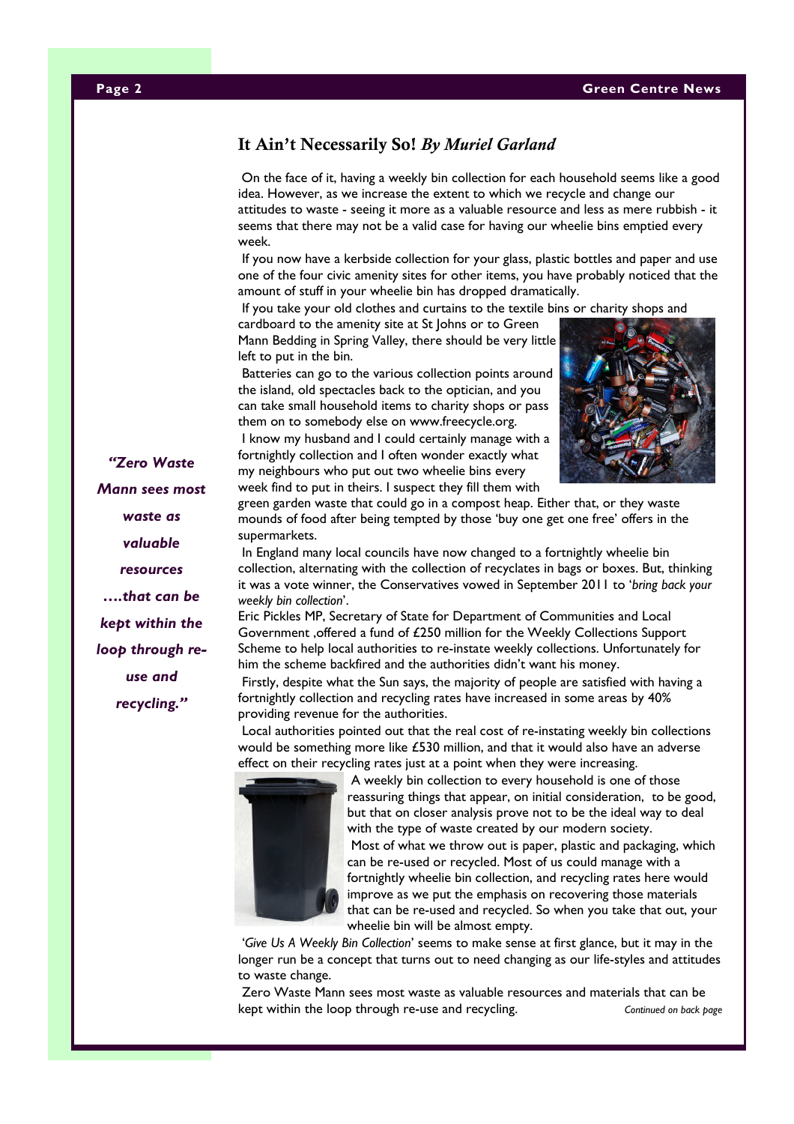## It Ain't Necessarily So! By Muriel Garland

On the face of it, having a weekly bin collection for each household seems like a good idea. However, as we increase the extent to which we recycle and change our attitudes to waste - seeing it more as a valuable resource and less as mere rubbish - it seems that there may not be a valid case for having our wheelie bins emptied every week.

 If you now have a kerbside collection for your glass, plastic bottles and paper and use one of the four civic amenity sites for other items, you have probably noticed that the amount of stuff in your wheelie bin has dropped dramatically.

If you take your old clothes and curtains to the textile bins or charity shops and

cardboard to the amenity site at St Johns or to Green Mann Bedding in Spring Valley, there should be very little left to put in the bin.

 Batteries can go to the various collection points around the island, old spectacles back to the optician, and you can take small household items to charity shops or pass them on to somebody else on www.freecycle.org.

 I know my husband and I could certainly manage with a fortnightly collection and I often wonder exactly what my neighbours who put out two wheelie bins every week find to put in theirs. I suspect they fill them with



green garden waste that could go in a compost heap. Either that, or they waste mounds of food after being tempted by those 'buy one get one free' offers in the supermarkets.

 In England many local councils have now changed to a fortnightly wheelie bin collection, alternating with the collection of recyclates in bags or boxes. But, thinking it was a vote winner, the Conservatives vowed in September 2011 to 'bring back your weekly bin collection'.

Eric Pickles MP, Secretary of State for Department of Communities and Local Government ,offered a fund of £250 million for the Weekly Collections Support Scheme to help local authorities to re-instate weekly collections. Unfortunately for him the scheme backfired and the authorities didn't want his money.

 Firstly, despite what the Sun says, the majority of people are satisfied with having a fortnightly collection and recycling rates have increased in some areas by 40% providing revenue for the authorities.

 Local authorities pointed out that the real cost of re-instating weekly bin collections would be something more like £530 million, and that it would also have an adverse effect on their recycling rates just at a point when they were increasing.



 A weekly bin collection to every household is one of those reassuring things that appear, on initial consideration, to be good, but that on closer analysis prove not to be the ideal way to deal with the type of waste created by our modern society. Most of what we throw out is paper, plastic and packaging, which can be re-used or recycled. Most of us could manage with a fortnightly wheelie bin collection, and recycling rates here would improve as we put the emphasis on recovering those materials that can be re-used and recycled. So when you take that out, your

 'Give Us A Weekly Bin Collection' seems to make sense at first glance, but it may in the longer run be a concept that turns out to need changing as our life-styles and attitudes to waste change.

 Zero Waste Mann sees most waste as valuable resources and materials that can be kept within the loop through re-use and recycling. The continued on back page

"Zero Waste Mann sees most waste as valuable resources ….that can be kept within the loop through reuse and recycling."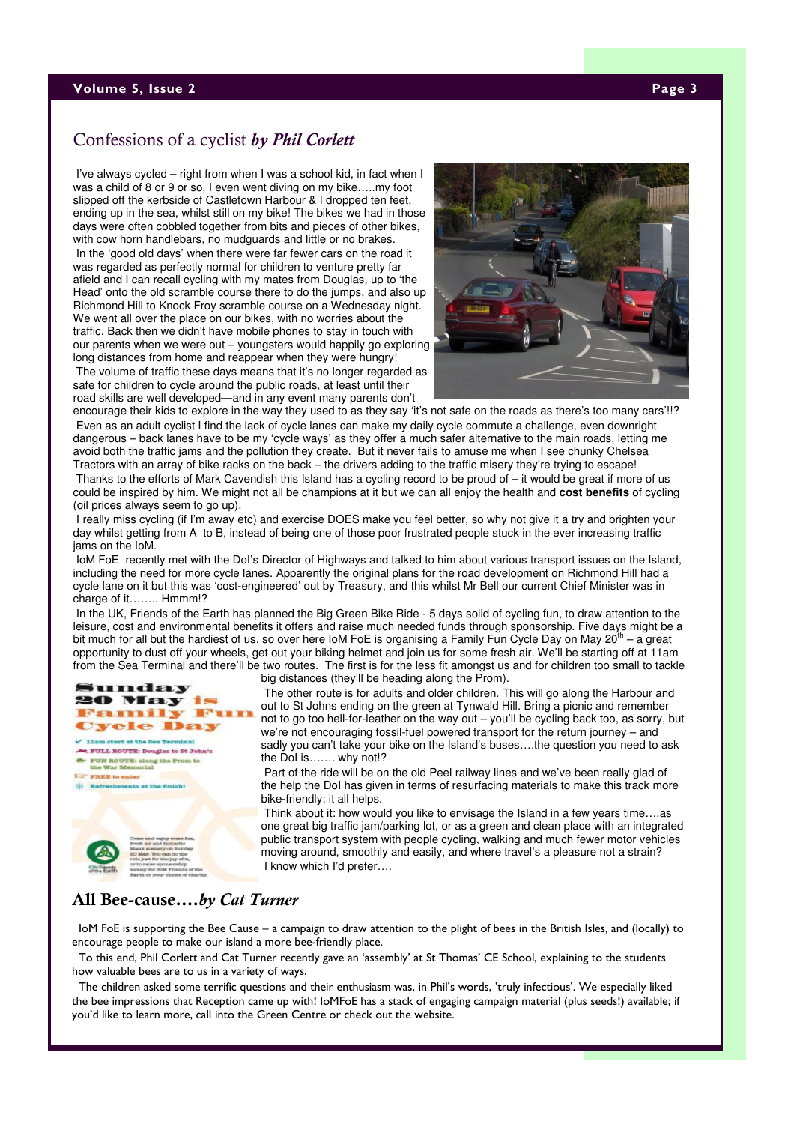#### **Volume 5, Issue 2** Page 3 Page 3 Page 3 Page 3 Page 3 Page 3 Page 3 Page 3 Page 3 Page 3 Page 3 Page 3 Page 3 Page 3 Page 3 Page 3 Page 3 Page 3 Page 3 Page 3 Page 3 Page 3 Page 3 Page 3 Page 3 Page 3 Page 3 Page 3 Page 3

## Confessions of a cyclist by Phil Corlett

I've always cycled – right from when I was a school kid, in fact when I was a child of 8 or 9 or so, I even went diving on my bike…..my foot slipped off the kerbside of Castletown Harbour & I dropped ten feet, ending up in the sea, whilst still on my bike! The bikes we had in those days were often cobbled together from bits and pieces of other bikes, with cow horn handlebars, no mudguards and little or no brakes.

In the 'good old days' when there were far fewer cars on the road it was regarded as perfectly normal for children to venture pretty far afield and I can recall cycling with my mates from Douglas, up to 'the Head' onto the old scramble course there to do the jumps, and also up Richmond Hill to Knock Froy scramble course on a Wednesday night. We went all over the place on our bikes, with no worries about the traffic. Back then we didn't have mobile phones to stay in touch with our parents when we were out – youngsters would happily go exploring long distances from home and reappear when they were hungry!

The volume of traffic these days means that it's no longer regarded as safe for children to cycle around the public roads, at least until their road skills are well developed—and in any event many parents don't



encourage their kids to explore in the way they used to as they say 'it's not safe on the roads as there's too many cars'!!? Even as an adult cyclist I find the lack of cycle lanes can make my daily cycle commute a challenge, even downright dangerous – back lanes have to be my 'cycle ways' as they offer a much safer alternative to the main roads, letting me avoid both the traffic jams and the pollution they create. But it never fails to amuse me when I see chunky Chelsea Tractors with an array of bike racks on the back – the drivers adding to the traffic misery they're trying to escape!

Thanks to the efforts of Mark Cavendish this Island has a cycling record to be proud of – it would be great if more of us could be inspired by him. We might not all be champions at it but we can all enjoy the health and **cost benefits** of cycling (oil prices always seem to go up).

I really miss cycling (if I'm away etc) and exercise DOES make you feel better, so why not give it a try and brighten your day whilst getting from A to B, instead of being one of those poor frustrated people stuck in the ever increasing traffic jams on the IoM.

IoM FoE recently met with the DoI's Director of Highways and talked to him about various transport issues on the Island, including the need for more cycle lanes. Apparently the original plans for the road development on Richmond Hill had a cycle lane on it but this was 'cost-engineered' out by Treasury, and this whilst Mr Bell our current Chief Minister was in charge of it…….. Hmmm!?

In the UK, Friends of the Earth has planned the Big Green Bike Ride - 5 days solid of cycling fun, to draw attention to the leisure, cost and environmental benefits it offers and raise much needed funds through sponsorship. Five days might be a bit much for all but the hardiest of us, so over here IoM FoE is organising a Family Fun Cycle Day on May  $20<sup>th</sup> - a$  great opportunity to dust off your wheels, get out your biking helmet and join us for some fresh air. We'll be starting off at 11am from the Sea Terminal and there'll be two routes. The first is for the less fit amongst us and for children too small to tackle



big distances (they'll be heading along the Prom). The other route is for adults and older children. This will go along the Harbour and out to St Johns ending on the green at Tynwald Hill. Bring a picnic and remember not to go too hell-for-leather on the way out – you'll be cycling back too, as sorry, but we're not encouraging fossil-fuel powered transport for the return journey – and sadly you can't take your bike on the Island's buses….the question you need to ask the DoI is……. why not!?

Part of the ride will be on the old Peel railway lines and we've been really glad of the help the DoI has given in terms of resurfacing materials to make this track more bike-friendly: it all helps.

Think about it: how would you like to envisage the Island in a few years time….as one great big traffic jam/parking lot, or as a green and clean place with an integrated public transport system with people cycling, walking and much fewer motor vehicles moving around, smoothly and easily, and where travel's a pleasure not a strain? I know which I'd prefer….

#### All Bee-cause….by Cat Turner

 IoM FoE is supporting the Bee Cause – a campaign to draw attention to the plight of bees in the British Isles, and (locally) to encourage people to make our island a more bee-friendly place.

 To this end, Phil Corlett and Cat Turner recently gave an 'assembly' at St Thomas' CE School, explaining to the students how valuable bees are to us in a variety of ways.

 The children asked some terrific questions and their enthusiasm was, in Phil's words, 'truly infectious'. We especially liked the bee impressions that Reception came up with! IoMFoE has a stack of engaging campaign material (plus seeds!) available; if you'd like to learn more, call into the Green Centre or check out the website.